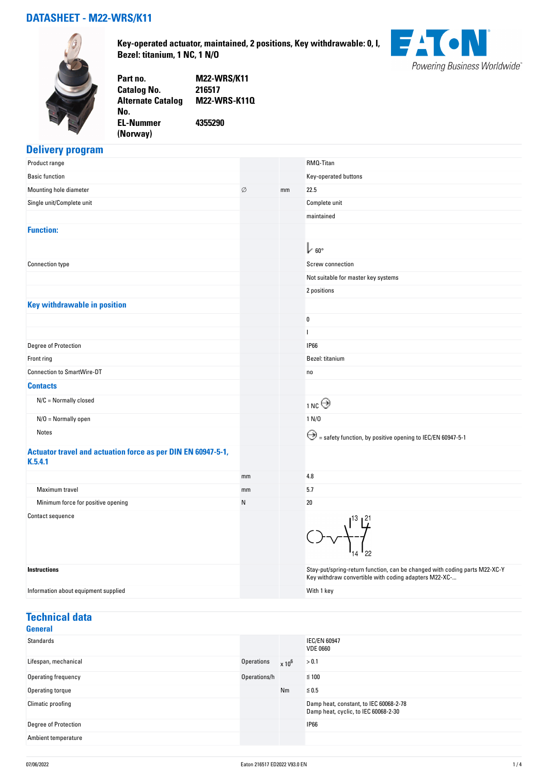## **DATASHEET - M22-WRS/K11**



**Key-operated actuator, maintained, 2 positions, Key withdrawable: 0, I, Bezel: titanium, 1 NC, 1 N/O**



**Part no. M22-WRS/K11 Catalog No. Alternate Catalog No. M22-WRS-K11Q EL-Nummer (Norway) 4355290**

# **Delivery program**

| Product range                                                           |    |    | RMQ-Titan                                                                                                                           |
|-------------------------------------------------------------------------|----|----|-------------------------------------------------------------------------------------------------------------------------------------|
| <b>Basic function</b>                                                   |    |    | Key-operated buttons                                                                                                                |
| Mounting hole diameter                                                  | Ø  | mm | 22.5                                                                                                                                |
| Single unit/Complete unit                                               |    |    | Complete unit                                                                                                                       |
|                                                                         |    |    | maintained                                                                                                                          |
| <b>Function:</b>                                                        |    |    |                                                                                                                                     |
|                                                                         |    |    | $\mathbb{L}_{60^{\circ}}$                                                                                                           |
| <b>Connection type</b>                                                  |    |    | Screw connection                                                                                                                    |
|                                                                         |    |    | Not suitable for master key systems                                                                                                 |
|                                                                         |    |    | 2 positions                                                                                                                         |
| <b>Key withdrawable in position</b>                                     |    |    |                                                                                                                                     |
|                                                                         |    |    | 0                                                                                                                                   |
|                                                                         |    |    | ı                                                                                                                                   |
| Degree of Protection                                                    |    |    | <b>IP66</b>                                                                                                                         |
| Front ring                                                              |    |    | Bezel: titanium                                                                                                                     |
| <b>Connection to SmartWire-DT</b>                                       |    |    | no                                                                                                                                  |
| <b>Contacts</b>                                                         |    |    |                                                                                                                                     |
| $N/C =$ Normally closed                                                 |    |    | $_{1}$ nc $\Theta$                                                                                                                  |
| $N/O =$ Normally open                                                   |    |    | 1 N/D                                                                                                                               |
| Notes                                                                   |    |    | $\bigodot$ = safety function, by positive opening to IEC/EN 60947-5-1                                                               |
| Actuator travel and actuation force as per DIN EN 60947-5-1,<br>K.5.4.1 |    |    |                                                                                                                                     |
|                                                                         | mm |    | 4.8                                                                                                                                 |
| Maximum travel                                                          | mm |    | 5.7                                                                                                                                 |
| Minimum force for positive opening                                      | N  |    | 20                                                                                                                                  |
| <b>Contact sequence</b>                                                 |    |    | 22                                                                                                                                  |
| Instructions                                                            |    |    | Stay-put/spring-return function, can be changed with coding parts M22-XC-Y<br>Key withdraw convertible with coding adapters M22-XC- |
| Information about equipment supplied                                    |    |    | With 1 key                                                                                                                          |

#### **Technical data General**

| General              |              |          |                                                                                |
|----------------------|--------------|----------|--------------------------------------------------------------------------------|
| Standards            |              |          | <b>IEC/EN 60947</b><br><b>VDE 0660</b>                                         |
| Lifespan, mechanical | Operations   | $x 10^6$ | > 0.1                                                                          |
| Operating frequency  | Operations/h |          | $\leq 100$                                                                     |
| Operating torque     |              | Nm       | $\leq 0.5$                                                                     |
| Climatic proofing    |              |          | Damp heat, constant, to IEC 60068-2-78<br>Damp heat, cyclic, to IEC 60068-2-30 |
| Degree of Protection |              |          | <b>IP66</b>                                                                    |
| Ambient temperature  |              |          |                                                                                |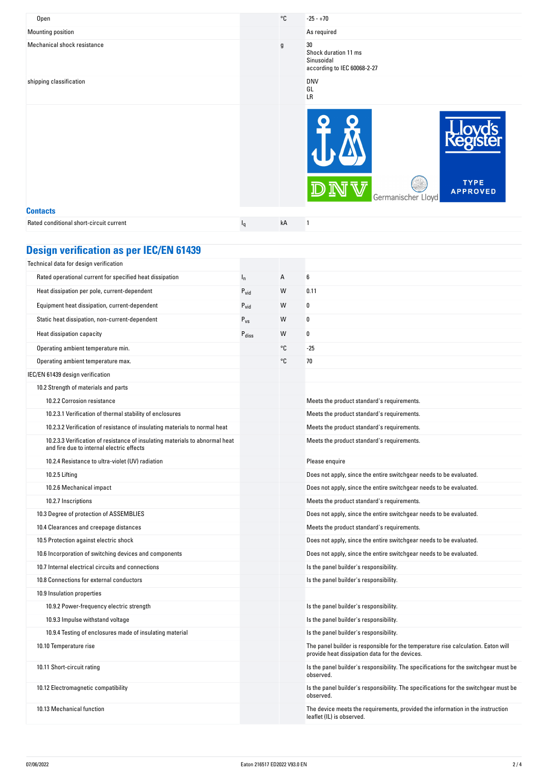| Mounting position<br>As required<br>Mechanical shock resistance<br>30<br>g<br>Shock duration 11 ms<br>Sinusoidal<br>according to IEC 60068-2-27<br>shipping classification<br><b>DNV</b> |
|------------------------------------------------------------------------------------------------------------------------------------------------------------------------------------------|
|                                                                                                                                                                                          |
|                                                                                                                                                                                          |
| GL<br>LR                                                                                                                                                                                 |
| <b>TYPE</b><br><b>APPROVED</b><br>Germanischer Lloyd                                                                                                                                     |
| <b>Contacts</b>                                                                                                                                                                          |
| Rated conditional short-circuit current<br>kA<br>1<br>$I_q$                                                                                                                              |

| <b>Design verification as per IEC/EN 61439</b> |  |  |
|------------------------------------------------|--|--|
|                                                |  |  |

| <u>oolgii vormoation ao por leoji</u>                                                                                     |                   |    |                                                                                                                                     |
|---------------------------------------------------------------------------------------------------------------------------|-------------------|----|-------------------------------------------------------------------------------------------------------------------------------------|
| Technical data for design verification                                                                                    |                   |    |                                                                                                                                     |
| Rated operational current for specified heat dissipation                                                                  | $I_n$             | А  | 6                                                                                                                                   |
| Heat dissipation per pole, current-dependent                                                                              | $P_{vid}$         | W  | 0.11                                                                                                                                |
| Equipment heat dissipation, current-dependent                                                                             | $P_{\text{vid}}$  | W  | 0                                                                                                                                   |
| Static heat dissipation, non-current-dependent                                                                            | $P_{VS}$          | W  | 0                                                                                                                                   |
| Heat dissipation capacity                                                                                                 | P <sub>diss</sub> | W  | 0                                                                                                                                   |
| Operating ambient temperature min.                                                                                        |                   | °C | $-25$                                                                                                                               |
| Operating ambient temperature max.                                                                                        |                   | °C | 70                                                                                                                                  |
| IEC/EN 61439 design verification                                                                                          |                   |    |                                                                                                                                     |
| 10.2 Strength of materials and parts                                                                                      |                   |    |                                                                                                                                     |
| 10.2.2 Corrosion resistance                                                                                               |                   |    | Meets the product standard's requirements.                                                                                          |
| 10.2.3.1 Verification of thermal stability of enclosures                                                                  |                   |    | Meets the product standard's requirements.                                                                                          |
| 10.2.3.2 Verification of resistance of insulating materials to normal heat                                                |                   |    | Meets the product standard's requirements.                                                                                          |
| 10.2.3.3 Verification of resistance of insulating materials to abnormal heat<br>and fire due to internal electric effects |                   |    | Meets the product standard's requirements.                                                                                          |
| 10.2.4 Resistance to ultra-violet (UV) radiation                                                                          |                   |    | Please enquire                                                                                                                      |
| 10.2.5 Lifting                                                                                                            |                   |    | Does not apply, since the entire switchgear needs to be evaluated.                                                                  |
| 10.2.6 Mechanical impact                                                                                                  |                   |    | Does not apply, since the entire switchgear needs to be evaluated.                                                                  |
| 10.2.7 Inscriptions                                                                                                       |                   |    | Meets the product standard's requirements.                                                                                          |
| 10.3 Degree of protection of ASSEMBLIES                                                                                   |                   |    | Does not apply, since the entire switchgear needs to be evaluated.                                                                  |
| 10.4 Clearances and creepage distances                                                                                    |                   |    | Meets the product standard's requirements.                                                                                          |
| 10.5 Protection against electric shock                                                                                    |                   |    | Does not apply, since the entire switchgear needs to be evaluated.                                                                  |
| 10.6 Incorporation of switching devices and components                                                                    |                   |    | Does not apply, since the entire switchgear needs to be evaluated.                                                                  |
| 10.7 Internal electrical circuits and connections                                                                         |                   |    | Is the panel builder's responsibility.                                                                                              |
| 10.8 Connections for external conductors                                                                                  |                   |    | Is the panel builder's responsibility.                                                                                              |
| 10.9 Insulation properties                                                                                                |                   |    |                                                                                                                                     |
| 10.9.2 Power-frequency electric strength                                                                                  |                   |    | Is the panel builder's responsibility.                                                                                              |
| 10.9.3 Impulse withstand voltage                                                                                          |                   |    | Is the panel builder's responsibility.                                                                                              |
| 10.9.4 Testing of enclosures made of insulating material                                                                  |                   |    | Is the panel builder's responsibility.                                                                                              |
| 10.10 Temperature rise                                                                                                    |                   |    | The panel builder is responsible for the temperature rise calculation. Eaton will<br>provide heat dissipation data for the devices. |
| 10.11 Short-circuit rating                                                                                                |                   |    | Is the panel builder's responsibility. The specifications for the switchgear must be<br>observed.                                   |
| 10.12 Electromagnetic compatibility                                                                                       |                   |    | Is the panel builder's responsibility. The specifications for the switchgear must be<br>observed.                                   |
| 10.13 Mechanical function                                                                                                 |                   |    | The device meets the requirements, provided the information in the instruction<br>leaflet (IL) is observed.                         |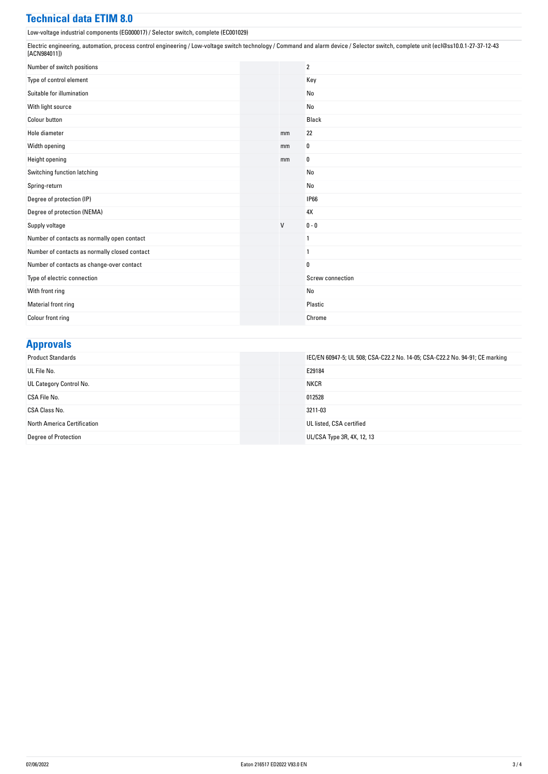### **Technical data ETIM 8.0**

Low-voltage industrial components (EG000017) / Selector switch, complete (EC001029)

Electric engineering, automation, process control engineering / Low-voltage switch technology / Command and alarm device / Selector switch, complete unit (ecl@ss10.0.1-27-37-12-43 [ACN984011])

| Number of switch positions                    |              | $\overline{2}$   |
|-----------------------------------------------|--------------|------------------|
| Type of control element                       |              | Key              |
| Suitable for illumination                     |              | No               |
| With light source                             |              | No               |
| <b>Colour button</b>                          |              | Black            |
| Hole diameter                                 | mm           | 22               |
| Width opening                                 | mm           | 0                |
| Height opening                                | mm           | 0                |
| Switching function latching                   |              | No               |
| Spring-return                                 |              | No               |
| Degree of protection (IP)                     |              | <b>IP66</b>      |
| Degree of protection (NEMA)                   |              | 4X               |
| Supply voltage                                | $\mathsf{V}$ | $0 - 0$          |
| Number of contacts as normally open contact   |              | 1                |
| Number of contacts as normally closed contact |              | 1                |
| Number of contacts as change-over contact     |              | $\bf{0}$         |
| Type of electric connection                   |              | Screw connection |
| With front ring                               |              | No               |
| Material front ring                           |              | Plastic          |
| Colour front ring                             |              | Chrome           |

# **Approvals**

| <b>Product Standards</b>    | IEC/EN 60947-5; UL 508; CSA-C22.2 No. 14-05; CSA-C22.2 No. 94-91; CE marking |
|-----------------------------|------------------------------------------------------------------------------|
| UL File No.                 | E29184                                                                       |
| UL Category Control No.     | <b>NKCR</b>                                                                  |
| CSA File No.                | 012528                                                                       |
| CSA Class No.               | 3211-03                                                                      |
| North America Certification | UL listed, CSA certified                                                     |
| <b>Degree of Protection</b> | UL/CSA Type 3R, 4X, 12, 13                                                   |